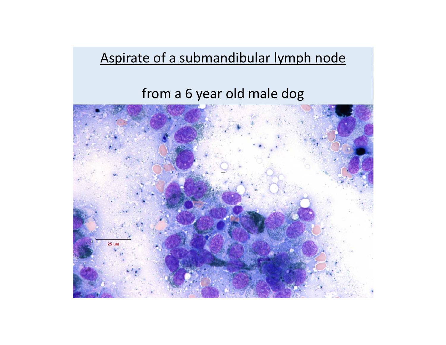### Aspirate of <sup>a</sup> submandibular lymph node

### from <sup>a</sup> 6 year old male dog

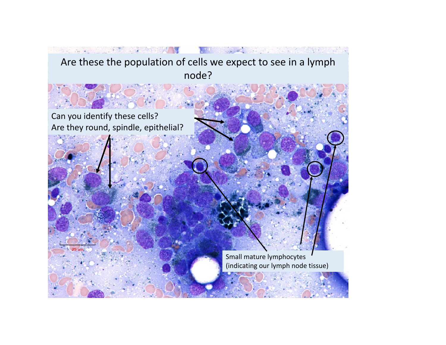#### and the second of the second of the second second second second second second second second second second second Are these the population of cells we expect to see in <sup>a</sup> lymph node?

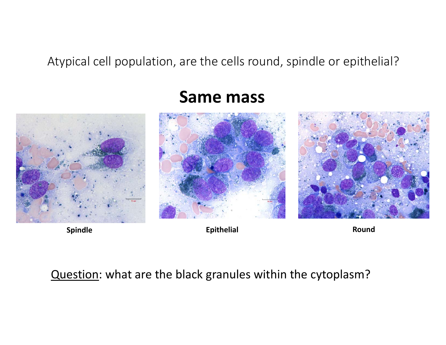Atypical cell population, are the cells round, spindle or epithelial?



### **Same mass**





**Spindle Epithelial Epithelial Round** 

#### Question: what are the black granules within the cytoplasm?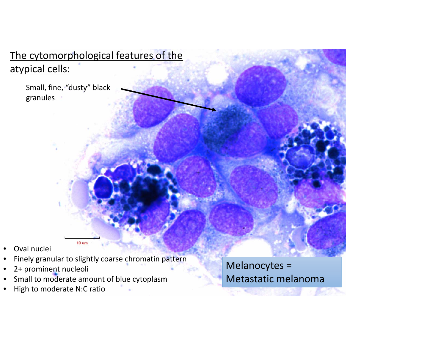#### The cytomorphological features of the atypical cells:

Small, fine, "dusty" black granules

- •Oval nuclei
- •Finely granular to slightly coarse chromatin pattern
- •2+ prominent nucleoli
- •• Small to moderate amount of blue cytoplasm

 $10 \text{ um}$ 

•High to moderate N:C ratio Melanocytes <sup>=</sup> Metastatic melanoma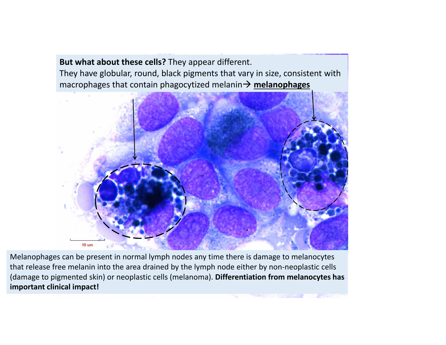**But what about these cells?** They appear different. They have globular, round, black pigments that vary in size, consistent with macrophages that contain phagocytized melanin  $\rightarrow$  melanophages



Melanophages can be present in normal lymph nodes any time there is damage to melanocytes that release free melanin into the area drained by the lymph node either by non‐neoplastic cells (damage to pigmented skin) or neoplastic cells (melanoma). **Differentiation from melanocytes has important clinical impact!**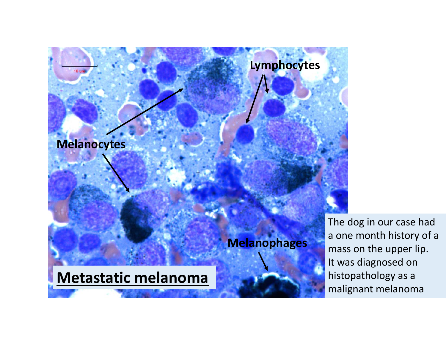

The dog in our case had a one month history of <sup>a</sup> mass on the upper lip. It was diagnosed on histopathology as <sup>a</sup> malignant melanoma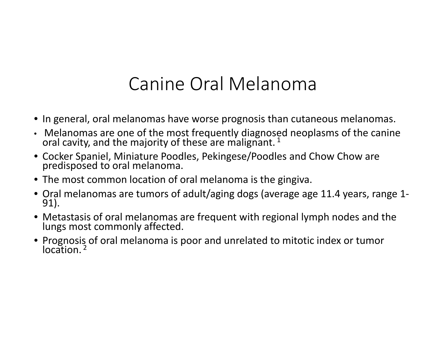# Canine Oral Melanoma

- In general, oral melanomas have worse prognosis than cutaneous melanomas.
- Melanomas are one of the most frequently diagnosed neoplasms of the canine oral cavity, and the majority of these are malignant.  $^{1}$
- Cocker Spaniel, Miniature Poodles, Pekingese/Poodles and Chow Chow are predisposed to oral melanoma.
- The most common location of oral melanoma is the gingiva.
- Oral melanomas are tumors of adult/aging dogs (average age 11.4 years, range <sup>1</sup>‐ 91).
- Metastasis of oral melanomas are frequent with regional lymph nodes and the lungs most commonly affected.
- Prognosis of oral melanoma is poor and unrelated to mitotic index or tumor<br>location.<sup>2</sup>  $location<sup>2</sup>$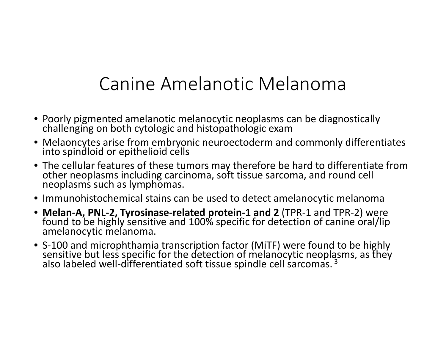# Canine Amelanotic Melanoma

- Poorly pigmented amelanotic melanocytic neoplasms can be diagnostically challenging on both cytologic and histopathologic exam
- Melaoncytes arise from embryonic neuroectoderm and commonly differentiates into spindloid or epithelioid cells
- The cellular features of these tumors may therefore be hard to differentiate from<br>other neoplasms including carcinoma, soft tissue sarcoma, and round cell neoplasms including carcinoma, soft tissue sarcoma, and round cell neoplasms such as lymphomas.
- Immunohistochemical stains can be used to detect amelanocytic melanoma
- Melan-A, PNL-2, Tyrosinase-related protein-1 and 2 (TPR-1 and TPR-2) were found to be highly sensitive and 100% specific for detection of canine oral/lip amelanocytic melanoma.
- S‐100 and microphthamia transcription factor (MiTF) were found to be highly sensitive but less specific for the detection of melanocytic neoplasms, as they<br>also labeled well-differentiated soft tissue spindle cell sarcomas. <sup>3</sup>